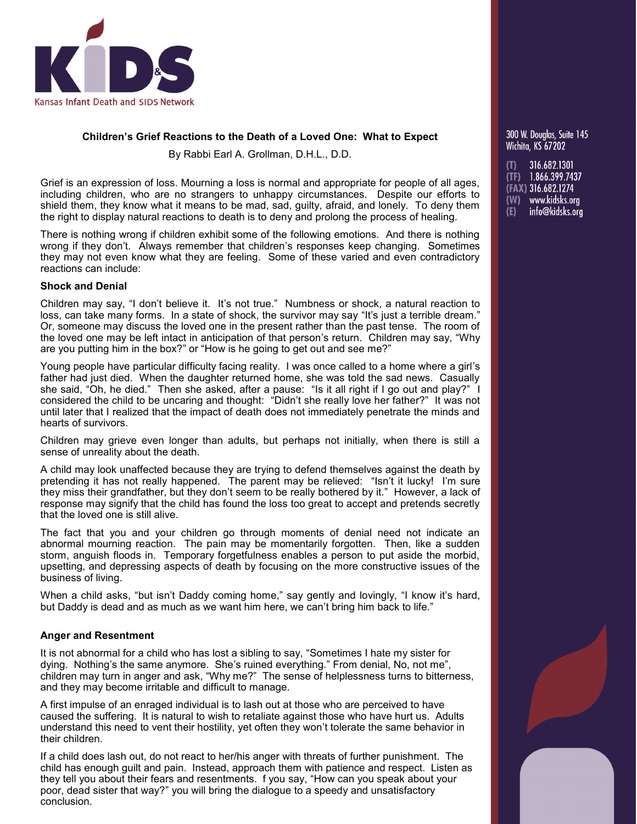

# **Children's Grief Reactions to the Death of a Loved One: What to Expect**

By Rabbi Earl A. Grollman, D.H.L., D.D.

Grief is an expression of loss. Mourning a loss is normal and appropriate for people of all ages, including children, who are no strangers to unhappy circumstances. Despite our efforts to shield them, they know what it means to be mad, sad, guilty, afraid, and lonely. To deny them the right to display natural reactions to death is to deny and prolong the process of healing.

There is nothing wrong if children exhibit some of the following emotions. And there is nothing wrong if they don't. Always remember that children's responses keep changing. Sometimes they may not even know what they are feeling. Some of these varied and even contradictory reactions can include:

## **Shock and Denial**

Children may say, "I don't believe it. It's not true." Numbness or shock, a natural reaction to loss, can take many forms. In a state of shock, the survivor may say "It's just a terrible dream." Or, someone may discuss the loved one in the present rather than the past tense. The room of the loved one may be left intact in anticipation of that person's return. Children may say, "Why are you putting him in the box?" or "How is he going to get out and see me?"

Young people have particular difficulty facing reality. I was once called to a home where a girl's father had just died. When the daughter returned home, she was told the sad news. Casually she said, "Oh, he died." Then she asked, after a pause: "Is it all right if I go out and play?" I considered the child to be uncaring and thought: "Didn't she really love her father?" It was not until later that I realized that the impact of death does not immediately penetrate the minds and hearts of survivors.

Children may grieve even longer than adults, but perhaps not initially, when there is still a sense of unreality about the death.

A child may look unaffected because they are trying to defend themselves against the death by pretending it has not really happened. The parent may be relieved: "Isn't it lucky! I'm sure they miss their grandfather, but they don't seem to be really bothered by it." However, a lack of response may signify that the child has found the loss too great to accept and pretends secretly that the loved one is still alive.

The fact that you and your children go through moments of denial need not indicate an abnormal mourning reaction. The pain may be momentarily forgotten. Then, like a sudden storm, anguish floods in. Temporary forgetfulness enables a person to put aside the morbid, upsetting, and depressing aspects of death by focusing on the more constructive issues of the business of living.

When a child asks, "but isn't Daddy coming home," say gently and lovingly, "I know it's hard, but Daddy is dead and as much as we want him here, we can't bring him back to life."

## **Anger and Resentment**

It is not abnormal for a child who has lost a sibling to say, "Sometimes I hate my sister for dying. Nothing's the same anymore. She's ruined everything." From denial, No, not me", children may turn in anger and ask, "Why me?" The sense of helplessness turns to bitterness, and they may become irritable and difficult to manage.

A first impulse of an enraged individual is to lash out at those who are perceived to have caused the suffering. It is natural to wish to retaliate against those who have hurt us. Adults understand this need to vent their hostility, yet often they won't tolerate the same behavior in their children.

If a child does lash out, do not react to her/his anger with threats of further punishment. The child has enough guilt and pain. Instead, approach them with patience and respect. Listen as they tell you about their fears and resentments. f you say, "How can you speak about your poor, dead sister that way?" you will bring the dialogue to a speedy and unsatisfactory conclusion.

300 W. Doualas. Suite 145 **Wichita, KS 67202** 

(T) 316.682.1301<br>(TF) 1.866.399.7437 (FAX) 316.682.1274 (W) www.kidsks.org info@kidsks.org  $(E)$